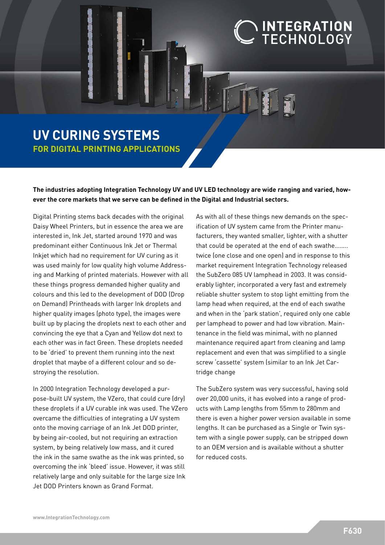## INTEGRATION<br>TECHNOLOGY

## **UV CURING SYSTEMS FOR DIGITAL PRINTING APPLICATIONS**

**The industries adopting Integration Technology UV and UV LED technology are wide ranging and varied, however the core markets that we serve can be defined in the Digital and Industrial sectors.** 

Digital Printing stems back decades with the original Daisy Wheel Printers, but in essence the area we are interested in, Ink Jet, started around 1970 and was predominant either Continuous Ink Jet or Thermal Inkjet which had no requirement for UV curing as it was used mainly for low quality high volume Addressing and Marking of printed materials. However with all these things progress demanded higher quality and colours and this led to the development of DOD (Drop on Demand) Printheads with larger Ink droplets and higher quality images (photo type), the images were built up by placing the droplets next to each other and convincing the eye that a Cyan and Yellow dot next to each other was in fact Green. These droplets needed to be 'dried' to prevent them running into the next droplet that maybe of a different colour and so destroying the resolution.

In 2000 Integration Technology developed a purpose-built UV system, the VZero, that could cure (dry) these droplets if a UV curable ink was used. The VZero overcame the difficulties of integrating a UV system onto the moving carriage of an Ink Jet DOD printer, by being air-cooled, but not requiring an extraction system, by being relatively low mass, and it cured the ink in the same swathe as the ink was printed, so overcoming the ink 'bleed' issue. However, it was still relatively large and only suitable for the large size Ink Jet DOD Printers known as Grand Format.

As with all of these things new demands on the specification of UV system came from the Printer manufacturers, they wanted smaller, lighter, with a shutter that could be operated at the end of each swathe…….. twice (one close and one open) and in response to this market requirement Integration Technology released the SubZero 085 UV lamphead in 2003. It was considerably lighter, incorporated a very fast and extremely reliable shutter system to stop light emitting from the lamp head when required, at the end of each swathe and when in the 'park station', required only one cable per lamphead to power and had low vibration. Maintenance in the field was minimal, with no planned maintenance required apart from cleaning and lamp replacement and even that was simplified to a single screw 'cassette' system (similar to an Ink Jet Cartridge change

The SubZero system was very successful, having sold over 20,000 units, it has evolved into a range of products with Lamp lengths from 55mm to 280mm and there is even a higher power version available in some lengths. It can be purchased as a Single or Twin system with a single power supply, can be stripped down to an OEM version and is available without a shutter for reduced costs.